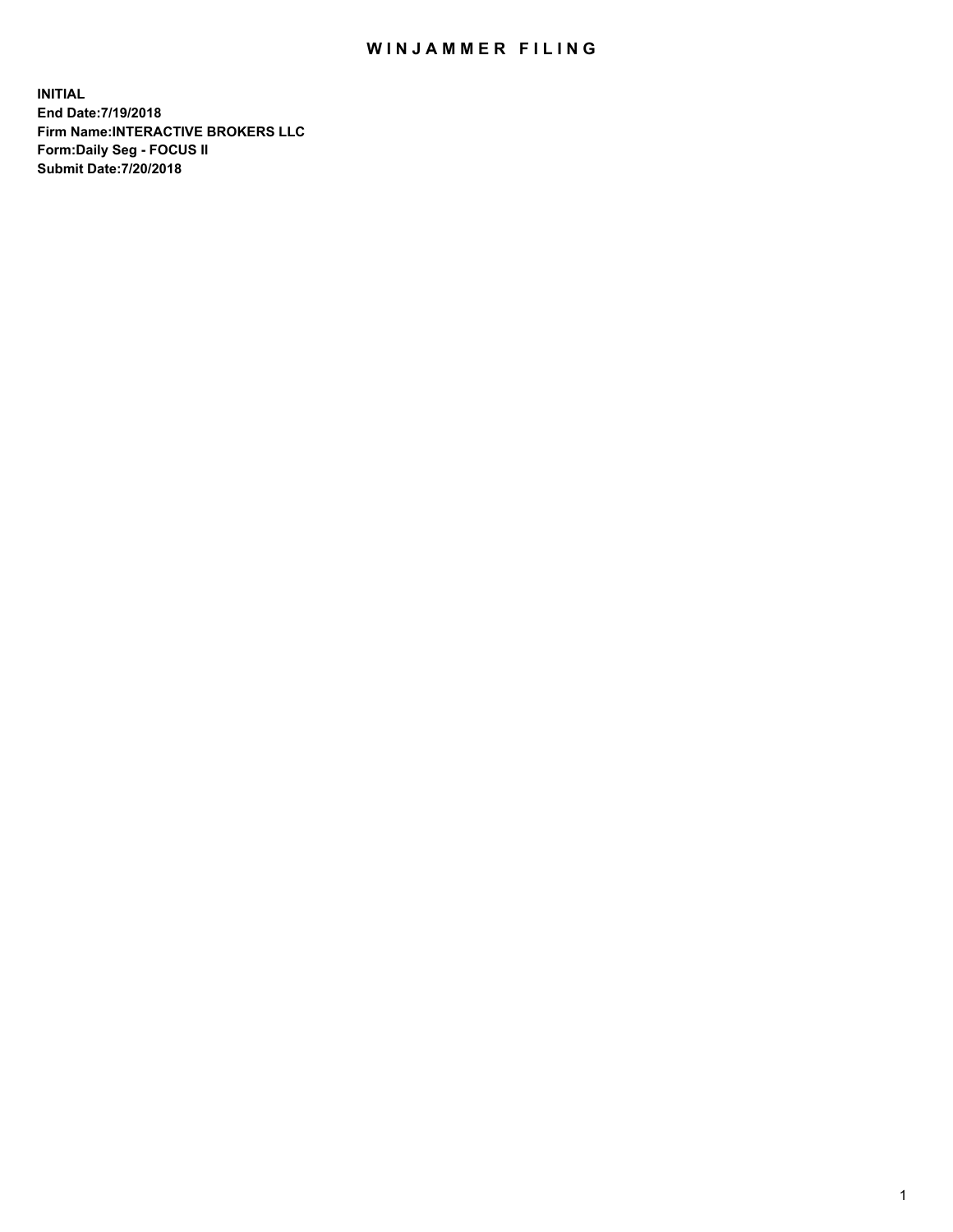## WIN JAMMER FILING

**INITIAL End Date:7/19/2018 Firm Name:INTERACTIVE BROKERS LLC Form:Daily Seg - FOCUS II Submit Date:7/20/2018**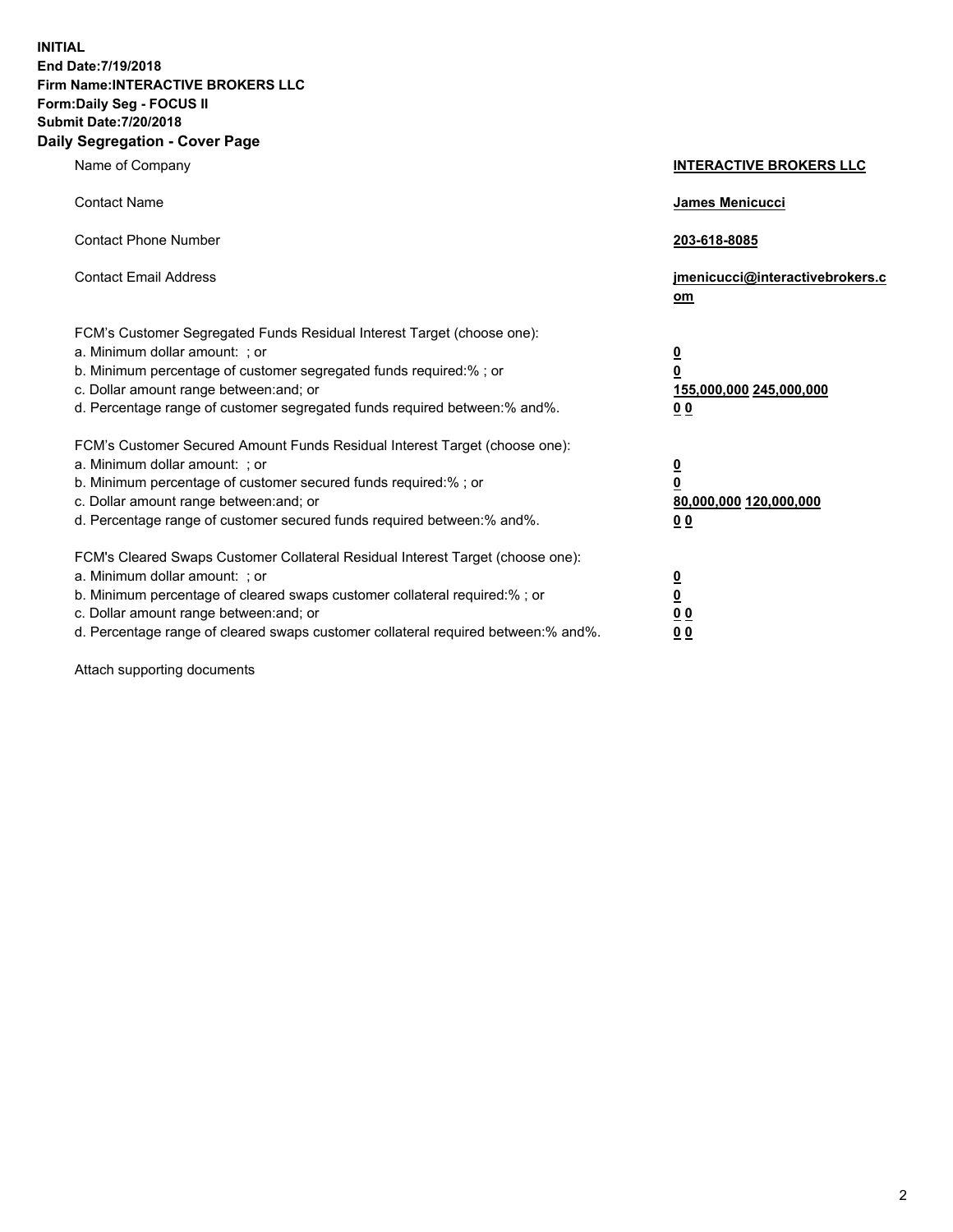**INITIAL End Date:7/19/2018 Firm Name:INTERACTIVE BROKERS LLC Form:Daily Seg - FOCUS II Submit Date:7/20/2018 Daily Segregation - Cover Page**

| Name of Company                                                                                                                                                                                                                                                                                                                | <b>INTERACTIVE BROKERS LLC</b>                                                   |
|--------------------------------------------------------------------------------------------------------------------------------------------------------------------------------------------------------------------------------------------------------------------------------------------------------------------------------|----------------------------------------------------------------------------------|
| <b>Contact Name</b>                                                                                                                                                                                                                                                                                                            | James Menicucci                                                                  |
| <b>Contact Phone Number</b>                                                                                                                                                                                                                                                                                                    | 203-618-8085                                                                     |
| <b>Contact Email Address</b>                                                                                                                                                                                                                                                                                                   | jmenicucci@interactivebrokers.c<br>om                                            |
| FCM's Customer Segregated Funds Residual Interest Target (choose one):<br>a. Minimum dollar amount: ; or<br>b. Minimum percentage of customer segregated funds required:% ; or<br>c. Dollar amount range between: and; or<br>d. Percentage range of customer segregated funds required between:% and%.                         | <u>0</u><br>$\overline{\mathbf{0}}$<br>155,000,000 245,000,000<br>0 <sub>0</sub> |
| FCM's Customer Secured Amount Funds Residual Interest Target (choose one):<br>a. Minimum dollar amount: ; or<br>b. Minimum percentage of customer secured funds required:% ; or<br>c. Dollar amount range between: and; or<br>d. Percentage range of customer secured funds required between:% and%.                           | <u>0</u><br>$\overline{\mathbf{0}}$<br>80,000,000 120,000,000<br>0 <sub>0</sub>  |
| FCM's Cleared Swaps Customer Collateral Residual Interest Target (choose one):<br>a. Minimum dollar amount: ; or<br>b. Minimum percentage of cleared swaps customer collateral required:% ; or<br>c. Dollar amount range between: and; or<br>d. Percentage range of cleared swaps customer collateral required between:% and%. | <u>0</u><br>$\underline{\mathbf{0}}$<br>0 <sub>0</sub><br>0 <sub>0</sub>         |

Attach supporting documents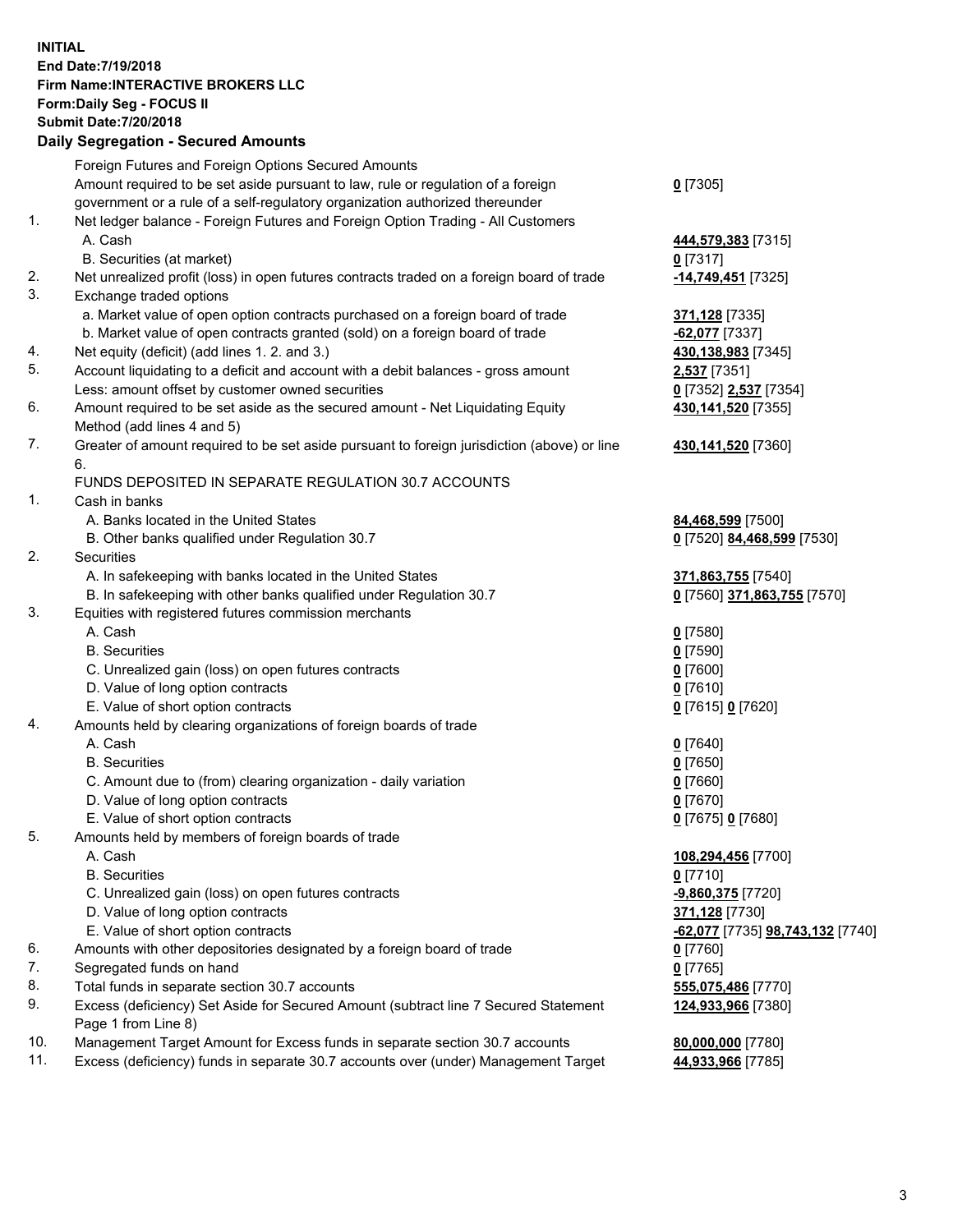## **INITIAL End Date:7/19/2018 Firm Name:INTERACTIVE BROKERS LLC Form:Daily Seg - FOCUS II Submit Date:7/20/2018 Daily Segregation - Secured Amounts**

| Daily Jegi egation - Jeculeu Alliounts                                                    |                                                                                                                                                                                                                                                                                                                                                                                                                                                                                                                                                                                                                                                                                                                                                                                                                                                                                                                                                                                                                                                                                                                                                                                                                                                                                                                                                                                                                                                                                                                                                                                                                                                                                                                                                                                                                                                                                                                                                                                                                                                      |
|-------------------------------------------------------------------------------------------|------------------------------------------------------------------------------------------------------------------------------------------------------------------------------------------------------------------------------------------------------------------------------------------------------------------------------------------------------------------------------------------------------------------------------------------------------------------------------------------------------------------------------------------------------------------------------------------------------------------------------------------------------------------------------------------------------------------------------------------------------------------------------------------------------------------------------------------------------------------------------------------------------------------------------------------------------------------------------------------------------------------------------------------------------------------------------------------------------------------------------------------------------------------------------------------------------------------------------------------------------------------------------------------------------------------------------------------------------------------------------------------------------------------------------------------------------------------------------------------------------------------------------------------------------------------------------------------------------------------------------------------------------------------------------------------------------------------------------------------------------------------------------------------------------------------------------------------------------------------------------------------------------------------------------------------------------------------------------------------------------------------------------------------------------|
| Foreign Futures and Foreign Options Secured Amounts                                       |                                                                                                                                                                                                                                                                                                                                                                                                                                                                                                                                                                                                                                                                                                                                                                                                                                                                                                                                                                                                                                                                                                                                                                                                                                                                                                                                                                                                                                                                                                                                                                                                                                                                                                                                                                                                                                                                                                                                                                                                                                                      |
| Amount required to be set aside pursuant to law, rule or regulation of a foreign          | $0$ [7305]                                                                                                                                                                                                                                                                                                                                                                                                                                                                                                                                                                                                                                                                                                                                                                                                                                                                                                                                                                                                                                                                                                                                                                                                                                                                                                                                                                                                                                                                                                                                                                                                                                                                                                                                                                                                                                                                                                                                                                                                                                           |
| government or a rule of a self-regulatory organization authorized thereunder              |                                                                                                                                                                                                                                                                                                                                                                                                                                                                                                                                                                                                                                                                                                                                                                                                                                                                                                                                                                                                                                                                                                                                                                                                                                                                                                                                                                                                                                                                                                                                                                                                                                                                                                                                                                                                                                                                                                                                                                                                                                                      |
| Net ledger balance - Foreign Futures and Foreign Option Trading - All Customers           |                                                                                                                                                                                                                                                                                                                                                                                                                                                                                                                                                                                                                                                                                                                                                                                                                                                                                                                                                                                                                                                                                                                                                                                                                                                                                                                                                                                                                                                                                                                                                                                                                                                                                                                                                                                                                                                                                                                                                                                                                                                      |
| A. Cash                                                                                   | 444,579,383 [7315]                                                                                                                                                                                                                                                                                                                                                                                                                                                                                                                                                                                                                                                                                                                                                                                                                                                                                                                                                                                                                                                                                                                                                                                                                                                                                                                                                                                                                                                                                                                                                                                                                                                                                                                                                                                                                                                                                                                                                                                                                                   |
| B. Securities (at market)                                                                 | $0$ [7317]                                                                                                                                                                                                                                                                                                                                                                                                                                                                                                                                                                                                                                                                                                                                                                                                                                                                                                                                                                                                                                                                                                                                                                                                                                                                                                                                                                                                                                                                                                                                                                                                                                                                                                                                                                                                                                                                                                                                                                                                                                           |
| Net unrealized profit (loss) in open futures contracts traded on a foreign board of trade | -14,749,451 <sup>[7325]</sup>                                                                                                                                                                                                                                                                                                                                                                                                                                                                                                                                                                                                                                                                                                                                                                                                                                                                                                                                                                                                                                                                                                                                                                                                                                                                                                                                                                                                                                                                                                                                                                                                                                                                                                                                                                                                                                                                                                                                                                                                                        |
| Exchange traded options                                                                   |                                                                                                                                                                                                                                                                                                                                                                                                                                                                                                                                                                                                                                                                                                                                                                                                                                                                                                                                                                                                                                                                                                                                                                                                                                                                                                                                                                                                                                                                                                                                                                                                                                                                                                                                                                                                                                                                                                                                                                                                                                                      |
|                                                                                           | <b>371,128</b> [7335]                                                                                                                                                                                                                                                                                                                                                                                                                                                                                                                                                                                                                                                                                                                                                                                                                                                                                                                                                                                                                                                                                                                                                                                                                                                                                                                                                                                                                                                                                                                                                                                                                                                                                                                                                                                                                                                                                                                                                                                                                                |
|                                                                                           | $-62,077$ [7337]                                                                                                                                                                                                                                                                                                                                                                                                                                                                                                                                                                                                                                                                                                                                                                                                                                                                                                                                                                                                                                                                                                                                                                                                                                                                                                                                                                                                                                                                                                                                                                                                                                                                                                                                                                                                                                                                                                                                                                                                                                     |
|                                                                                           | 430,138,983 [7345]                                                                                                                                                                                                                                                                                                                                                                                                                                                                                                                                                                                                                                                                                                                                                                                                                                                                                                                                                                                                                                                                                                                                                                                                                                                                                                                                                                                                                                                                                                                                                                                                                                                                                                                                                                                                                                                                                                                                                                                                                                   |
|                                                                                           | 2,537 [7351]                                                                                                                                                                                                                                                                                                                                                                                                                                                                                                                                                                                                                                                                                                                                                                                                                                                                                                                                                                                                                                                                                                                                                                                                                                                                                                                                                                                                                                                                                                                                                                                                                                                                                                                                                                                                                                                                                                                                                                                                                                         |
|                                                                                           | 0 [7352] 2,537 [7354]                                                                                                                                                                                                                                                                                                                                                                                                                                                                                                                                                                                                                                                                                                                                                                                                                                                                                                                                                                                                                                                                                                                                                                                                                                                                                                                                                                                                                                                                                                                                                                                                                                                                                                                                                                                                                                                                                                                                                                                                                                |
|                                                                                           | 430,141,520 [7355]                                                                                                                                                                                                                                                                                                                                                                                                                                                                                                                                                                                                                                                                                                                                                                                                                                                                                                                                                                                                                                                                                                                                                                                                                                                                                                                                                                                                                                                                                                                                                                                                                                                                                                                                                                                                                                                                                                                                                                                                                                   |
|                                                                                           |                                                                                                                                                                                                                                                                                                                                                                                                                                                                                                                                                                                                                                                                                                                                                                                                                                                                                                                                                                                                                                                                                                                                                                                                                                                                                                                                                                                                                                                                                                                                                                                                                                                                                                                                                                                                                                                                                                                                                                                                                                                      |
|                                                                                           | 430,141,520 [7360]                                                                                                                                                                                                                                                                                                                                                                                                                                                                                                                                                                                                                                                                                                                                                                                                                                                                                                                                                                                                                                                                                                                                                                                                                                                                                                                                                                                                                                                                                                                                                                                                                                                                                                                                                                                                                                                                                                                                                                                                                                   |
| 6.                                                                                        |                                                                                                                                                                                                                                                                                                                                                                                                                                                                                                                                                                                                                                                                                                                                                                                                                                                                                                                                                                                                                                                                                                                                                                                                                                                                                                                                                                                                                                                                                                                                                                                                                                                                                                                                                                                                                                                                                                                                                                                                                                                      |
|                                                                                           |                                                                                                                                                                                                                                                                                                                                                                                                                                                                                                                                                                                                                                                                                                                                                                                                                                                                                                                                                                                                                                                                                                                                                                                                                                                                                                                                                                                                                                                                                                                                                                                                                                                                                                                                                                                                                                                                                                                                                                                                                                                      |
|                                                                                           |                                                                                                                                                                                                                                                                                                                                                                                                                                                                                                                                                                                                                                                                                                                                                                                                                                                                                                                                                                                                                                                                                                                                                                                                                                                                                                                                                                                                                                                                                                                                                                                                                                                                                                                                                                                                                                                                                                                                                                                                                                                      |
|                                                                                           | 84,468,599 [7500]                                                                                                                                                                                                                                                                                                                                                                                                                                                                                                                                                                                                                                                                                                                                                                                                                                                                                                                                                                                                                                                                                                                                                                                                                                                                                                                                                                                                                                                                                                                                                                                                                                                                                                                                                                                                                                                                                                                                                                                                                                    |
|                                                                                           | 0 [7520] 84,468,599 [7530]                                                                                                                                                                                                                                                                                                                                                                                                                                                                                                                                                                                                                                                                                                                                                                                                                                                                                                                                                                                                                                                                                                                                                                                                                                                                                                                                                                                                                                                                                                                                                                                                                                                                                                                                                                                                                                                                                                                                                                                                                           |
|                                                                                           |                                                                                                                                                                                                                                                                                                                                                                                                                                                                                                                                                                                                                                                                                                                                                                                                                                                                                                                                                                                                                                                                                                                                                                                                                                                                                                                                                                                                                                                                                                                                                                                                                                                                                                                                                                                                                                                                                                                                                                                                                                                      |
|                                                                                           | 371,863,755 [7540]                                                                                                                                                                                                                                                                                                                                                                                                                                                                                                                                                                                                                                                                                                                                                                                                                                                                                                                                                                                                                                                                                                                                                                                                                                                                                                                                                                                                                                                                                                                                                                                                                                                                                                                                                                                                                                                                                                                                                                                                                                   |
|                                                                                           | 0 [7560] 371,863,755 [7570]                                                                                                                                                                                                                                                                                                                                                                                                                                                                                                                                                                                                                                                                                                                                                                                                                                                                                                                                                                                                                                                                                                                                                                                                                                                                                                                                                                                                                                                                                                                                                                                                                                                                                                                                                                                                                                                                                                                                                                                                                          |
|                                                                                           |                                                                                                                                                                                                                                                                                                                                                                                                                                                                                                                                                                                                                                                                                                                                                                                                                                                                                                                                                                                                                                                                                                                                                                                                                                                                                                                                                                                                                                                                                                                                                                                                                                                                                                                                                                                                                                                                                                                                                                                                                                                      |
|                                                                                           | $0$ [7580]                                                                                                                                                                                                                                                                                                                                                                                                                                                                                                                                                                                                                                                                                                                                                                                                                                                                                                                                                                                                                                                                                                                                                                                                                                                                                                                                                                                                                                                                                                                                                                                                                                                                                                                                                                                                                                                                                                                                                                                                                                           |
|                                                                                           | $0$ [7590]                                                                                                                                                                                                                                                                                                                                                                                                                                                                                                                                                                                                                                                                                                                                                                                                                                                                                                                                                                                                                                                                                                                                                                                                                                                                                                                                                                                                                                                                                                                                                                                                                                                                                                                                                                                                                                                                                                                                                                                                                                           |
|                                                                                           | $0$ [7600]                                                                                                                                                                                                                                                                                                                                                                                                                                                                                                                                                                                                                                                                                                                                                                                                                                                                                                                                                                                                                                                                                                                                                                                                                                                                                                                                                                                                                                                                                                                                                                                                                                                                                                                                                                                                                                                                                                                                                                                                                                           |
|                                                                                           | $0$ [7610]                                                                                                                                                                                                                                                                                                                                                                                                                                                                                                                                                                                                                                                                                                                                                                                                                                                                                                                                                                                                                                                                                                                                                                                                                                                                                                                                                                                                                                                                                                                                                                                                                                                                                                                                                                                                                                                                                                                                                                                                                                           |
|                                                                                           | 0 [7615] 0 [7620]                                                                                                                                                                                                                                                                                                                                                                                                                                                                                                                                                                                                                                                                                                                                                                                                                                                                                                                                                                                                                                                                                                                                                                                                                                                                                                                                                                                                                                                                                                                                                                                                                                                                                                                                                                                                                                                                                                                                                                                                                                    |
|                                                                                           |                                                                                                                                                                                                                                                                                                                                                                                                                                                                                                                                                                                                                                                                                                                                                                                                                                                                                                                                                                                                                                                                                                                                                                                                                                                                                                                                                                                                                                                                                                                                                                                                                                                                                                                                                                                                                                                                                                                                                                                                                                                      |
|                                                                                           | $0$ [7640]                                                                                                                                                                                                                                                                                                                                                                                                                                                                                                                                                                                                                                                                                                                                                                                                                                                                                                                                                                                                                                                                                                                                                                                                                                                                                                                                                                                                                                                                                                                                                                                                                                                                                                                                                                                                                                                                                                                                                                                                                                           |
|                                                                                           | $0$ [7650]                                                                                                                                                                                                                                                                                                                                                                                                                                                                                                                                                                                                                                                                                                                                                                                                                                                                                                                                                                                                                                                                                                                                                                                                                                                                                                                                                                                                                                                                                                                                                                                                                                                                                                                                                                                                                                                                                                                                                                                                                                           |
|                                                                                           | $0$ [7660]                                                                                                                                                                                                                                                                                                                                                                                                                                                                                                                                                                                                                                                                                                                                                                                                                                                                                                                                                                                                                                                                                                                                                                                                                                                                                                                                                                                                                                                                                                                                                                                                                                                                                                                                                                                                                                                                                                                                                                                                                                           |
|                                                                                           | $0$ [7670]                                                                                                                                                                                                                                                                                                                                                                                                                                                                                                                                                                                                                                                                                                                                                                                                                                                                                                                                                                                                                                                                                                                                                                                                                                                                                                                                                                                                                                                                                                                                                                                                                                                                                                                                                                                                                                                                                                                                                                                                                                           |
|                                                                                           | 0 [7675] 0 [7680]                                                                                                                                                                                                                                                                                                                                                                                                                                                                                                                                                                                                                                                                                                                                                                                                                                                                                                                                                                                                                                                                                                                                                                                                                                                                                                                                                                                                                                                                                                                                                                                                                                                                                                                                                                                                                                                                                                                                                                                                                                    |
|                                                                                           |                                                                                                                                                                                                                                                                                                                                                                                                                                                                                                                                                                                                                                                                                                                                                                                                                                                                                                                                                                                                                                                                                                                                                                                                                                                                                                                                                                                                                                                                                                                                                                                                                                                                                                                                                                                                                                                                                                                                                                                                                                                      |
|                                                                                           | 108,294,456 [7700]                                                                                                                                                                                                                                                                                                                                                                                                                                                                                                                                                                                                                                                                                                                                                                                                                                                                                                                                                                                                                                                                                                                                                                                                                                                                                                                                                                                                                                                                                                                                                                                                                                                                                                                                                                                                                                                                                                                                                                                                                                   |
|                                                                                           | $0$ [7710]                                                                                                                                                                                                                                                                                                                                                                                                                                                                                                                                                                                                                                                                                                                                                                                                                                                                                                                                                                                                                                                                                                                                                                                                                                                                                                                                                                                                                                                                                                                                                                                                                                                                                                                                                                                                                                                                                                                                                                                                                                           |
|                                                                                           | -9,860,375 [7720]                                                                                                                                                                                                                                                                                                                                                                                                                                                                                                                                                                                                                                                                                                                                                                                                                                                                                                                                                                                                                                                                                                                                                                                                                                                                                                                                                                                                                                                                                                                                                                                                                                                                                                                                                                                                                                                                                                                                                                                                                                    |
|                                                                                           | 371,128 [7730]                                                                                                                                                                                                                                                                                                                                                                                                                                                                                                                                                                                                                                                                                                                                                                                                                                                                                                                                                                                                                                                                                                                                                                                                                                                                                                                                                                                                                                                                                                                                                                                                                                                                                                                                                                                                                                                                                                                                                                                                                                       |
|                                                                                           | <u>-62,077</u> [7735] <u>98,743,132</u> [7740]                                                                                                                                                                                                                                                                                                                                                                                                                                                                                                                                                                                                                                                                                                                                                                                                                                                                                                                                                                                                                                                                                                                                                                                                                                                                                                                                                                                                                                                                                                                                                                                                                                                                                                                                                                                                                                                                                                                                                                                                       |
|                                                                                           | 0 [7760]                                                                                                                                                                                                                                                                                                                                                                                                                                                                                                                                                                                                                                                                                                                                                                                                                                                                                                                                                                                                                                                                                                                                                                                                                                                                                                                                                                                                                                                                                                                                                                                                                                                                                                                                                                                                                                                                                                                                                                                                                                             |
|                                                                                           | $0$ [7765]                                                                                                                                                                                                                                                                                                                                                                                                                                                                                                                                                                                                                                                                                                                                                                                                                                                                                                                                                                                                                                                                                                                                                                                                                                                                                                                                                                                                                                                                                                                                                                                                                                                                                                                                                                                                                                                                                                                                                                                                                                           |
|                                                                                           | 555,075,486 [7770]                                                                                                                                                                                                                                                                                                                                                                                                                                                                                                                                                                                                                                                                                                                                                                                                                                                                                                                                                                                                                                                                                                                                                                                                                                                                                                                                                                                                                                                                                                                                                                                                                                                                                                                                                                                                                                                                                                                                                                                                                                   |
|                                                                                           | 124,933,966 [7380]                                                                                                                                                                                                                                                                                                                                                                                                                                                                                                                                                                                                                                                                                                                                                                                                                                                                                                                                                                                                                                                                                                                                                                                                                                                                                                                                                                                                                                                                                                                                                                                                                                                                                                                                                                                                                                                                                                                                                                                                                                   |
|                                                                                           |                                                                                                                                                                                                                                                                                                                                                                                                                                                                                                                                                                                                                                                                                                                                                                                                                                                                                                                                                                                                                                                                                                                                                                                                                                                                                                                                                                                                                                                                                                                                                                                                                                                                                                                                                                                                                                                                                                                                                                                                                                                      |
|                                                                                           | 80,000,000 [7780]                                                                                                                                                                                                                                                                                                                                                                                                                                                                                                                                                                                                                                                                                                                                                                                                                                                                                                                                                                                                                                                                                                                                                                                                                                                                                                                                                                                                                                                                                                                                                                                                                                                                                                                                                                                                                                                                                                                                                                                                                                    |
|                                                                                           | 44,933,966 [7785]                                                                                                                                                                                                                                                                                                                                                                                                                                                                                                                                                                                                                                                                                                                                                                                                                                                                                                                                                                                                                                                                                                                                                                                                                                                                                                                                                                                                                                                                                                                                                                                                                                                                                                                                                                                                                                                                                                                                                                                                                                    |
|                                                                                           | a. Market value of open option contracts purchased on a foreign board of trade<br>b. Market value of open contracts granted (sold) on a foreign board of trade<br>Net equity (deficit) (add lines 1.2. and 3.)<br>Account liquidating to a deficit and account with a debit balances - gross amount<br>Less: amount offset by customer owned securities<br>Amount required to be set aside as the secured amount - Net Liquidating Equity<br>Method (add lines 4 and 5)<br>Greater of amount required to be set aside pursuant to foreign jurisdiction (above) or line<br>FUNDS DEPOSITED IN SEPARATE REGULATION 30.7 ACCOUNTS<br>Cash in banks<br>A. Banks located in the United States<br>B. Other banks qualified under Regulation 30.7<br>Securities<br>A. In safekeeping with banks located in the United States<br>B. In safekeeping with other banks qualified under Regulation 30.7<br>Equities with registered futures commission merchants<br>A. Cash<br><b>B.</b> Securities<br>C. Unrealized gain (loss) on open futures contracts<br>D. Value of long option contracts<br>E. Value of short option contracts<br>Amounts held by clearing organizations of foreign boards of trade<br>A. Cash<br><b>B.</b> Securities<br>C. Amount due to (from) clearing organization - daily variation<br>D. Value of long option contracts<br>E. Value of short option contracts<br>Amounts held by members of foreign boards of trade<br>A. Cash<br><b>B.</b> Securities<br>C. Unrealized gain (loss) on open futures contracts<br>D. Value of long option contracts<br>E. Value of short option contracts<br>Amounts with other depositories designated by a foreign board of trade<br>Segregated funds on hand<br>Total funds in separate section 30.7 accounts<br>Excess (deficiency) Set Aside for Secured Amount (subtract line 7 Secured Statement<br>Page 1 from Line 8)<br>Management Target Amount for Excess funds in separate section 30.7 accounts<br>Excess (deficiency) funds in separate 30.7 accounts over (under) Management Target |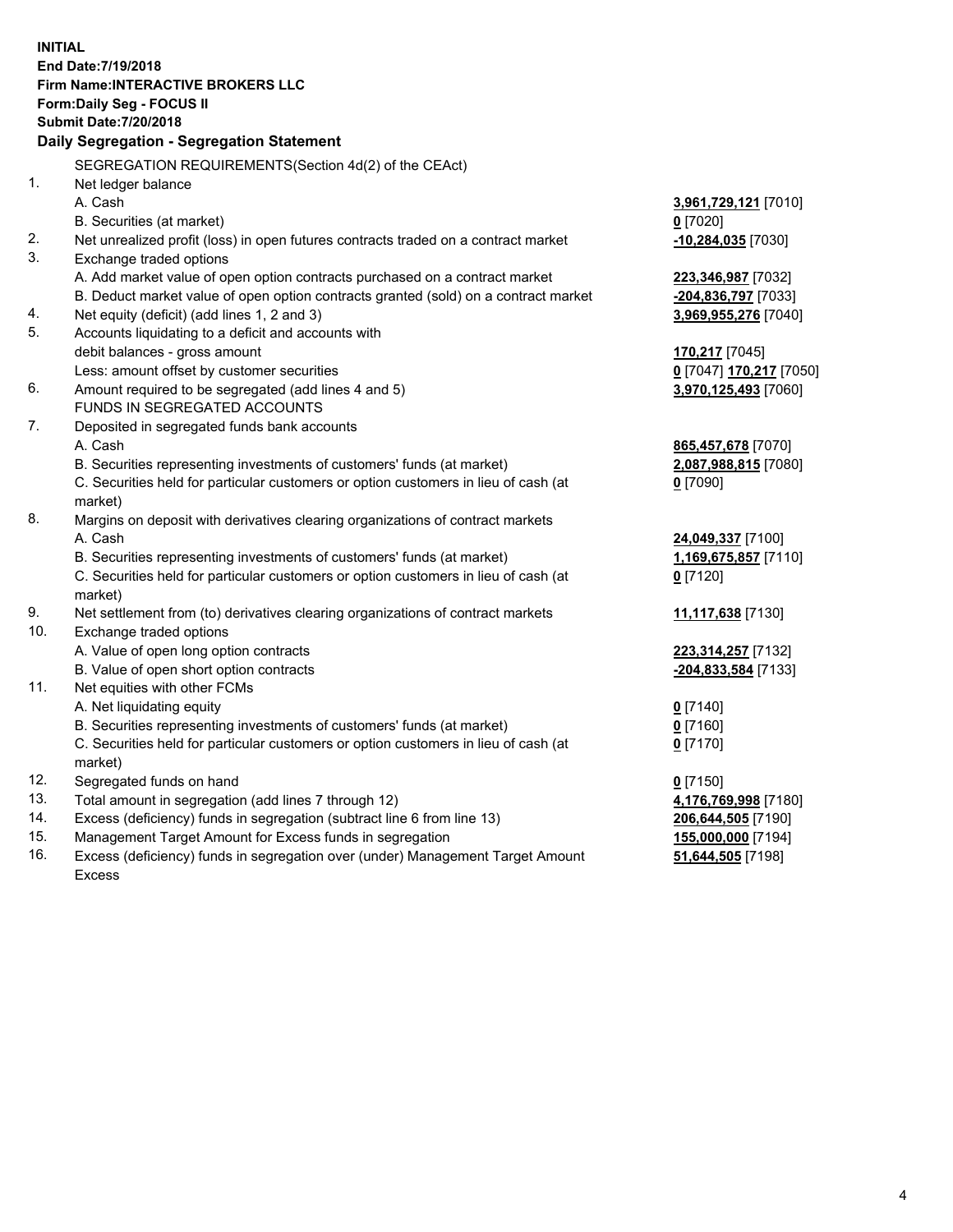**INITIAL End Date:7/19/2018 Firm Name:INTERACTIVE BROKERS LLC Form:Daily Seg - FOCUS II Submit Date:7/20/2018 Daily Segregation - Segregation Statement** SEGREGATION REQUIREMENTS(Section 4d(2) of the CEAct) 1. Net ledger balance A. Cash **3,961,729,121** [7010] B. Securities (at market) **0** [7020] 2. Net unrealized profit (loss) in open futures contracts traded on a contract market **-10,284,035** [7030] 3. Exchange traded options A. Add market value of open option contracts purchased on a contract market **223,346,987** [7032] B. Deduct market value of open option contracts granted (sold) on a contract market **-204,836,797** [7033] 4. Net equity (deficit) (add lines 1, 2 and 3) **3,969,955,276** [7040] 5. Accounts liquidating to a deficit and accounts with debit balances - gross amount **170,217** [7045] Less: amount offset by customer securities **0** [7047] **170,217** [7050] 6. Amount required to be segregated (add lines 4 and 5) **3,970,125,493** [7060] FUNDS IN SEGREGATED ACCOUNTS 7. Deposited in segregated funds bank accounts A. Cash **865,457,678** [7070] B. Securities representing investments of customers' funds (at market) **2,087,988,815** [7080] C. Securities held for particular customers or option customers in lieu of cash (at market) **0** [7090] 8. Margins on deposit with derivatives clearing organizations of contract markets A. Cash **24,049,337** [7100] B. Securities representing investments of customers' funds (at market) **1,169,675,857** [7110] C. Securities held for particular customers or option customers in lieu of cash (at market) **0** [7120] 9. Net settlement from (to) derivatives clearing organizations of contract markets **11,117,638** [7130] 10. Exchange traded options A. Value of open long option contracts **223,314,257** [7132] B. Value of open short option contracts **-204,833,584** [7133] 11. Net equities with other FCMs A. Net liquidating equity **0** [7140] B. Securities representing investments of customers' funds (at market) **0** [7160] C. Securities held for particular customers or option customers in lieu of cash (at market) **0** [7170] 12. Segregated funds on hand **0** [7150] 13. Total amount in segregation (add lines 7 through 12) **4,176,769,998** [7180] 14. Excess (deficiency) funds in segregation (subtract line 6 from line 13) **206,644,505** [7190] 15. Management Target Amount for Excess funds in segregation **155,000,000** [7194]

16. Excess (deficiency) funds in segregation over (under) Management Target Amount Excess

**51,644,505** [7198]